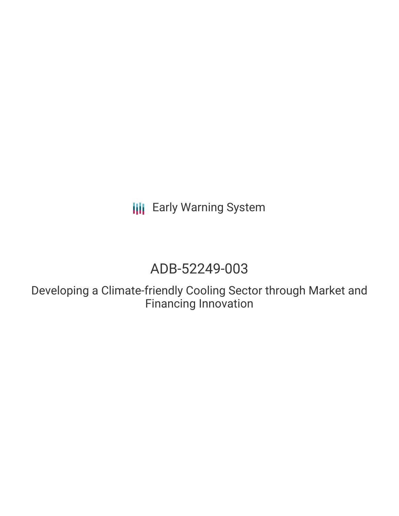# **III** Early Warning System

## ADB-52249-003

Developing a Climate-friendly Cooling Sector through Market and Financing Innovation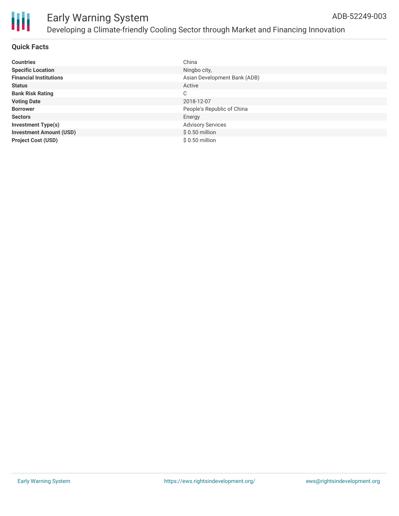

### Early Warning System Developing a Climate-friendly Cooling Sector through Market and Financing Innovation

#### **Quick Facts**

| <b>Countries</b>               | China                        |
|--------------------------------|------------------------------|
| <b>Specific Location</b>       | Ningbo city,                 |
| <b>Financial Institutions</b>  | Asian Development Bank (ADB) |
| <b>Status</b>                  | Active                       |
| <b>Bank Risk Rating</b>        | C                            |
| <b>Voting Date</b>             | 2018-12-07                   |
| <b>Borrower</b>                | People's Republic of China   |
| <b>Sectors</b>                 | Energy                       |
| <b>Investment Type(s)</b>      | <b>Advisory Services</b>     |
| <b>Investment Amount (USD)</b> | $$0.50$ million              |
| <b>Project Cost (USD)</b>      | $$0.50$ million              |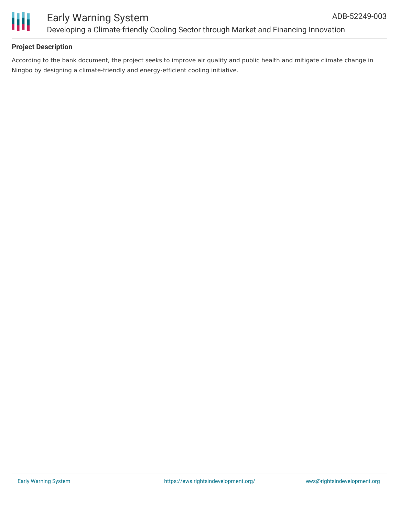

#### **Project Description**

According to the bank document, the project seeks to improve air quality and public health and mitigate climate change in Ningbo by designing a climate-friendly and energy-efficient cooling initiative.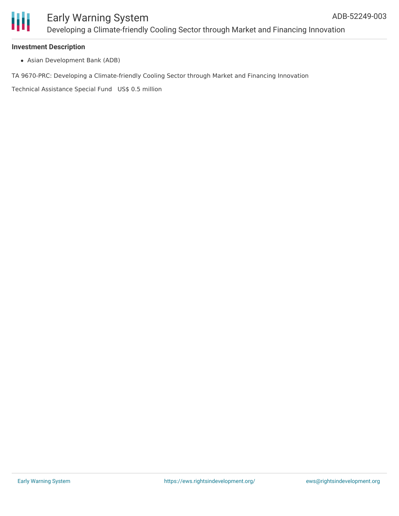

#### **Investment Description**

Asian Development Bank (ADB)

TA 9670-PRC: Developing a Climate-friendly Cooling Sector through Market and Financing Innovation

Technical Assistance Special Fund US\$ 0.5 million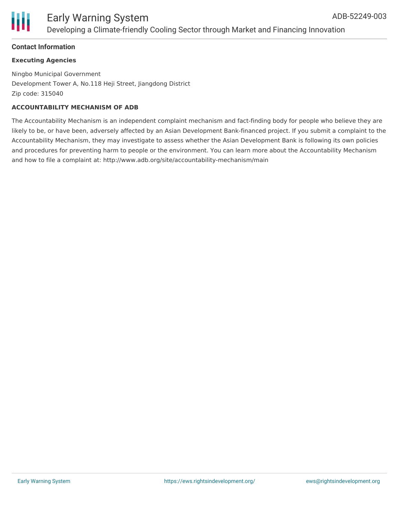

#### **Contact Information**

#### **Executing Agencies**

Ningbo Municipal Government Development Tower A, No.118 Heji Street, Jiangdong District Zip code: 315040

#### **ACCOUNTABILITY MECHANISM OF ADB**

The Accountability Mechanism is an independent complaint mechanism and fact-finding body for people who believe they are likely to be, or have been, adversely affected by an Asian Development Bank-financed project. If you submit a complaint to the Accountability Mechanism, they may investigate to assess whether the Asian Development Bank is following its own policies and procedures for preventing harm to people or the environment. You can learn more about the Accountability Mechanism and how to file a complaint at: http://www.adb.org/site/accountability-mechanism/main